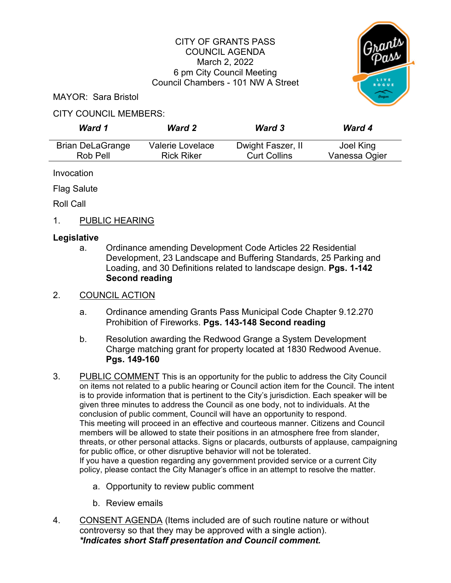## CITY OF GRANTS PASS COUNCIL AGENDA March 2, 2022 6 pm City Council Meeting Council Chambers - 101 NW A Street



MAYOR: Sara Bristol

# CITY COUNCIL MEMBERS:

| Ward 1                  | <b>Ward 2</b>     | <b>Ward 3</b>       | <b>Ward 4</b> |
|-------------------------|-------------------|---------------------|---------------|
| <b>Brian DeLaGrange</b> | Valerie Lovelace  | Dwight Faszer, II   | Joel King     |
| Rob Pell                | <b>Rick Riker</b> | <b>Curt Collins</b> | Vanessa Ogier |

Invocation

Flag Salute

Roll Call

1. PUBLIC HEARING

# **Legislative**

a. Ordinance amending Development Code Articles 22 Residential Development, 23 Landscape and Buffering Standards, 25 Parking and Loading, and 30 Definitions related to landscape design. **Pgs. 1-142 Second reading**

# 2. COUNCIL ACTION

- a. Ordinance amending Grants Pass Municipal Code Chapter 9.12.270 Prohibition of Fireworks. **Pgs. 143-148 Second reading**
- b. Resolution awarding the Redwood Grange a System Development Charge matching grant for property located at 1830 Redwood Avenue. **Pgs. 149-160**
- 3. PUBLIC COMMENT This is an opportunity for the public to address the City Council on items not related to a public hearing or Council action item for the Council. The intent is to provide information that is pertinent to the City's jurisdiction. Each speaker will be given three minutes to address the Council as one body, not to individuals. At the conclusion of public comment, Council will have an opportunity to respond. This meeting will proceed in an effective and courteous manner. Citizens and Council members will be allowed to state their positions in an atmosphere free from slander, threats, or other personal attacks. Signs or placards, outbursts of applause, campaigning for public office, or other disruptive behavior will not be tolerated. If you have a question regarding any government provided service or a current City policy, please contact the City Manager's office in an attempt to resolve the matter.
	- a. Opportunity to review public comment
	- b. Review emails
- 4. CONSENT AGENDA (Items included are of such routine nature or without controversy so that they may be approved with a single action). *\*Indicates short Staff presentation and Council comment.*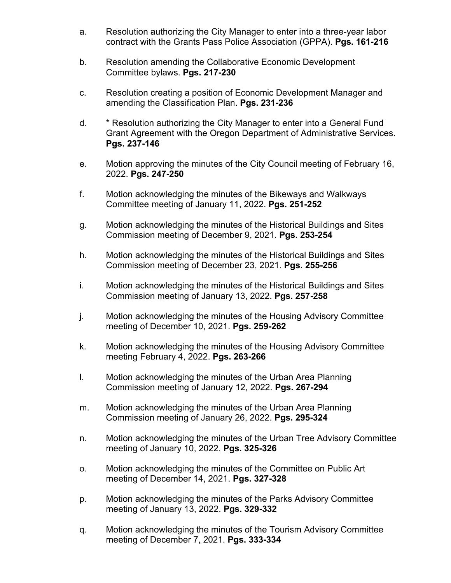- a. Resolution authorizing the City Manager to enter into a three-year labor contract with the Grants Pass Police Association (GPPA). **Pgs. 161-216**
- b. Resolution amending the Collaborative Economic Development Committee bylaws. **Pgs. 217-230**
- c. Resolution creating a position of Economic Development Manager and amending the Classification Plan. **Pgs. 231-236**
- d. \* Resolution authorizing the City Manager to enter into a General Fund Grant Agreement with the Oregon Department of Administrative Services. **Pgs. 237-146**
- e. Motion approving the minutes of the City Council meeting of February 16, 2022. **Pgs. 247-250**
- f. Motion acknowledging the minutes of the Bikeways and Walkways Committee meeting of January 11, 2022. **Pgs. 251-252**
- g. Motion acknowledging the minutes of the Historical Buildings and Sites Commission meeting of December 9, 2021. **Pgs. 253-254**
- h. Motion acknowledging the minutes of the Historical Buildings and Sites Commission meeting of December 23, 2021. **Pgs. 255-256**
- i. Motion acknowledging the minutes of the Historical Buildings and Sites Commission meeting of January 13, 2022. **Pgs. 257-258**
- j. Motion acknowledging the minutes of the Housing Advisory Committee meeting of December 10, 2021. **Pgs. 259-262**
- k. Motion acknowledging the minutes of the Housing Advisory Committee meeting February 4, 2022. **Pgs. 263-266**
- l. Motion acknowledging the minutes of the Urban Area Planning Commission meeting of January 12, 2022. **Pgs. 267-294**
- m. Motion acknowledging the minutes of the Urban Area Planning Commission meeting of January 26, 2022. **Pgs. 295-324**
- n. Motion acknowledging the minutes of the Urban Tree Advisory Committee meeting of January 10, 2022. **Pgs. 325-326**
- o. Motion acknowledging the minutes of the Committee on Public Art meeting of December 14, 2021. **Pgs. 327-328**
- p. Motion acknowledging the minutes of the Parks Advisory Committee meeting of January 13, 2022. **Pgs. 329-332**
- q. Motion acknowledging the minutes of the Tourism Advisory Committee meeting of December 7, 2021. **Pgs. 333-334**